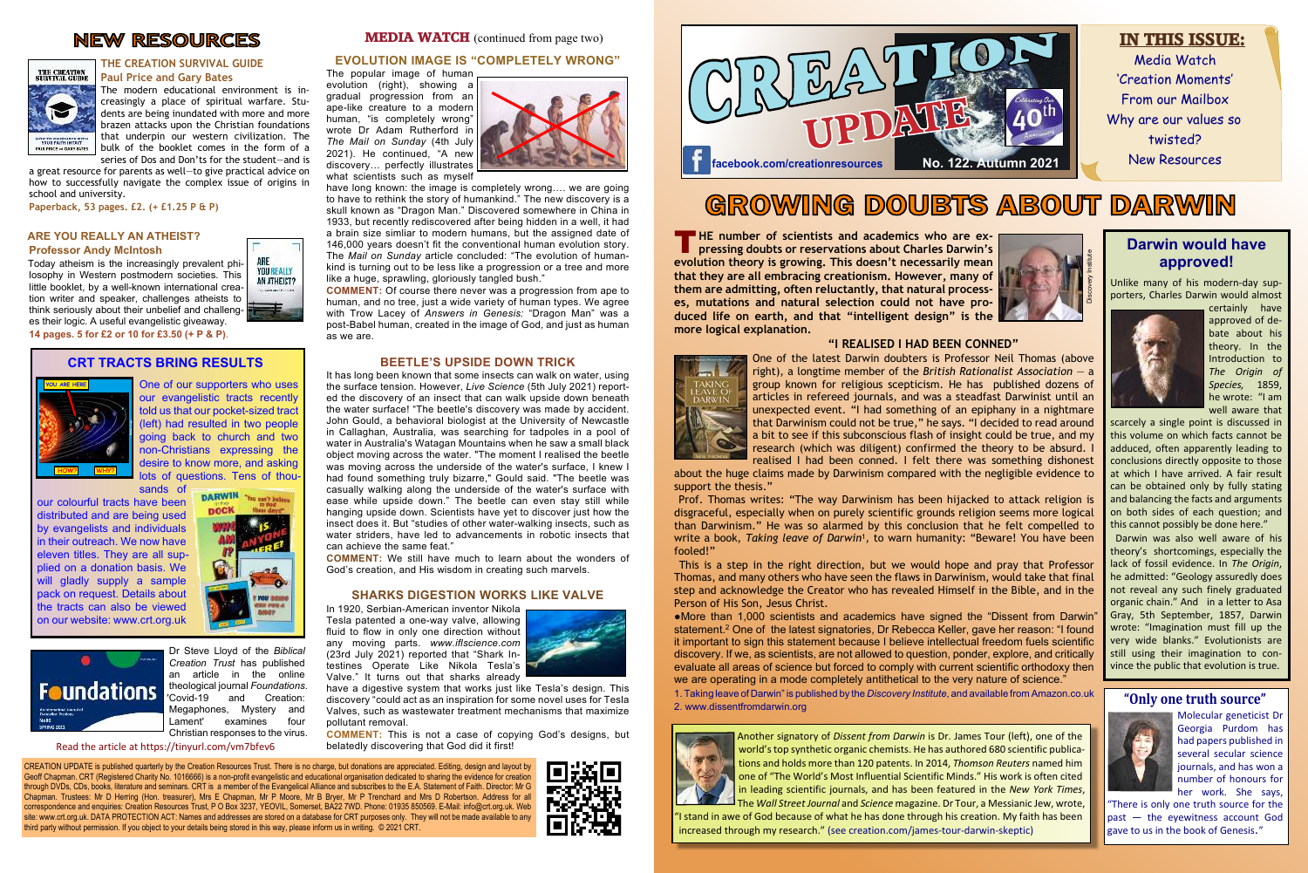CREATION UPDATE is published quarterly by the Creation Resources Trust. There is no charge, but donations are appreciated. Editing, design and layout by Geoff Chapman. CRT (Registered Charity No. 1016666) is a non-profit evangelistic and educational organisation dedicated to sharing the evidence for creation through DVDs, CDs, books, literature and seminars. CRT is a member of the Evangelical Alliance and subscribes to the E.A. Statement of Faith. Director: Mr G Chapman. Trustees: Mr D Herring (Hon. treasurer), Mrs E Chapman, Mr P Moore, Mr B Bryer, Mr P Trenchard and Mrs D Robertson. Address for all correspondence and enquiries: Creation Resources Trust, P O Box 3237, YEOVIL, Somerset, BA22 7WD. Phone: 01935 850569. E-Mail: info@crt.org.uk. Web site: www.crt.org.uk. DATA PROTECTION ACT: Names and addresses are stored on a database for CRT purposes only. They will not be made available to any third party without permission. If you object to your details being stored in this way, please inform us in writing. © 2021 CRT.

evolution (right), showing a gradual progression from an ape-like creature to a modern human, "is completely wrong" wrote Dr Adam Rutherford in *The Mail on Sunday* (4th July 2021). He continued, "A new discovery… perfectly illustrates what scientists such as myself



#### **EVOLUTION IMAGE IS "COMPLETELY WRONG"**

The popular image of human

have long known: the image is completely wrong…. we are going to have to rethink the story of humankind." The new discovery is a skull known as "Dragon Man." Discovered somewhere in China in 1933, but recently rediscovered after being hidden in a well, it had a brain size simliar to modern humans, but the assigned date of 146,000 years doesn't fit the conventional human evolution story. The *Mail on Sunday* article concluded: "The evolution of humankind is turning out to be less like a progression or a tree and more like a huge, sprawling, gloriously tangled bush."

**COMMENT:** Of course there never was a progression from ape to human, and no tree, just a wide variety of human types. We agree with Trow Lacey of *Answers in Genesis:* "Dragon Man" was a post-Babel human, created in the image of God, and just as human as we are.

#### **BEETLE'S UPSIDE DOWN TRICK**

It has long been known that some insects can walk on water, using the surface tension. However, *Live Science* (5th July 2021) reported the discovery of an insect that can walk upside down beneath the water surface! "The beetle's discovery was made by accident. John Gould, a behavioral biologist at the University of Newcastle in Callaghan, Australia, was searching for tadpoles in a pool of water in Australia's Watagan Mountains when he saw a small black object moving across the water. "The moment I realised the beetle was moving across the underside of the water's surface, I knew I had found something truly bizarre," Gould said. "The beetle was casually walking along the underside of the water's surface with ease while upside down." The beetle can even stay still while hanging upside down. Scientists have yet to discover just how the insect does it. But "studies of other water-walking insects, such as water striders, have led to advancements in robotic insects that can achieve the same feat."

**T** HE number of scientists and academics who are expressing doubts or reservations about Charles Darwin's **pressing doubts or reservations about Charles Darwin's evolution theory is growing. This doesn't necessarily mean that they are all embracing creationism. However, many of them are admitting, often reluctantly, that natural processes, mutations and natural selection could not have produced life on earth, and that "intelligent design" is the more logical explanation.**

**COMMENT:** We still have much to learn about the wonders of God's creation, and His wisdom in creating such marvels.

#### **SHARKS DIGESTION WORKS LIKE VALVE**

In 1920, Serbian-American inventor Nikola Tesla patented a one-way valve, allowing fluid to flow in only one direction without any moving parts. *[w](www.iflsciennce.com)ww.iflscience.com* (23rd July 2021) reported that "Shark Intestines Operate Like Nikola Tesla's Valve." It turns out that sharks already



have a digestive system that works just like Tesla's design. This discovery "could act as an inspiration for some novel uses for Tesla Valves, such as wastewater treatment mechanisms that maximize pollutant removal.

**COMMENT:** This is not a case of copying God's designs, but belatedly discovering that God did it first!

# **NEW RESOURCES**



#### **THE CREATION SURVIVAL GUIDE Paul Price and Gary Bates**

The modern educational environment is increasingly a place of spiritual warfare. Students are being inundated with more and more brazen attacks upon the Christian foundations that underpin our western civilization. The bulk of the booklet comes in the form of a series of Dos and Don'ts for the student—and is

a great resource for parents as well—to give practical advice on how to successfully navigate the complex issue of origins in school and university.

**Paperback, 53 pages. £2. (+ £1.25 P & P)**

#### **ARE YOU REALLY AN ATHEIST? Professor Andy McIntosh**

Today atheism is the increasingly prevalent philosophy in Western postmodern societies. This little booklet, by a well-known international creation writer and speaker, challenges atheists to think seriously about their unbelief and challenges their logic. A useful evangelistic giveaway.

> One of our supporters who uses our evangelistic tracts recently told us that our pocket-sized tract (left) had resulted in two people going back to church and two non-Christians expressing the desire to know more, and asking lots of questions. Tens of thousands of

**14 pages. 5 for £2 or 10 for £3.50 (+ P & P)**.

# GROWING DOUBTS ABOUT DARWIN

#### **"I REALISED I HAD BEEN CONNED"**



One of the latest Darwin doubters is Professor Neil Thomas (above right), a longtime member of the *British Rationalist Association* — a group known for religious scepticism. He has published dozens of articles in refereed journals, and was a steadfast Darwinist until an unexpected event. "I had something of an epiphany in a nightmare that Darwinism could not be true," he says. "I decided to read around a bit to see if this subconscious flash of insight could be true, and my research (which was diligent) confirmed the theory to be absurd. I realised I had been conned. I felt there was something dishonest about the huge claims made by Darwinism compared with the negligible evidence to

support the thesis."



# Media Watch 'Creation Moments' From our Mailbox Why are our values so twisted? New Resources **IN THIS ISSUE:**



 Prof. Thomas writes: "The way Darwinism has been hijacked to attack religion is disgraceful, especially when on purely scientific grounds religion seems more logical than Darwinism." He was so alarmed by this conclusion that he felt compelled to write a book, *Taking leave of Darwin'*, to warn humanity: "Beware! You have been fooled!"

 This is a step in the right direction, but we would hope and pray that Professor Thomas, and many others who have seen the flaws in Darwinism, would take that final step and acknowledge the Creator who has revealed Himself in the Bible, and in the Person of His Son, Jesus Christ.

●More than 1,000 scientists and academics have signed the "Dissent from Darwin" statement.<sup>2</sup> One of the latest signatories, Dr Rebecca Keller, gave her reason: "I found it important to sign this statement because I believe intellectual freedom fuels scientific discovery. If we, as scientists, are not allowed to question, ponder, explore, and critically evaluate all areas of science but forced to comply with current scientific orthodoxy then we are operating in a mode completely antithetical to the very nature of science." 1. Taking leave of Darwin" is published by the *Discovery Institute*, and available from Amazon.co.uk 2. www.dissentfromdarwin.org



# **Darwin would have approved!**

Discovery Institute

Unlike many of his modern-day supporters, Charles Darwin would almost



certainly have approved of debate about his theory. In the Introduction to *The Origin of Species,* 1859, he wrote: "I am well aware that

scarcely a single point is discussed in this volume on which facts cannot be adduced, often apparently leading to conclusions directly opposite to those at which I have arrived. A fair result can be obtained only by fully stating and balancing the facts and arguments on both sides of each question; and this cannot possibly be done here."

 Darwin was also well aware of his theory's shortcomings, especially the lack of fossil evidence. In *The Origin*, he admitted: "Geology assuredly does not reveal any such finely graduated organic chain." And in a letter to Asa Gray, 5th September, 1857, Darwin wrote: "Imagination must fill up the very wide blanks." Evolutionists are still using their imagination to convince the public that evolution is true.

Another signatory of *Dissent from Darwin* is Dr. James Tour (left), one of the world's top synthetic organic chemists. He has authored 680 scientific publications and holds more than 120 patents. In 2014, *Thomson Reuters* named him one of "The World's Most Influential Scientific Minds." His work is often cited in leading scientific journals, and has been featured in the *New York Times*,

The *Wall Street Journal* and *Science* magazine. Dr Tour, a Messianic Jew, wrote,

"I stand in awe of God because of what he has done through his creation. My faith has been increased through my research." (see creation.com/james-tour-darwin-skeptic)



#### **CRT TRACTS BRING RESULTS**



our colourful tracts have been distributed and are being used by evangelists and individuals in their outreach. We now have eleven titles. They are all supplied on a donation basis. We will gladly supply a sample pack on request. Details about the tracts can also be viewed on our website: www.crt.org.uk



Read the article at https://tinyurl.com/vm7bfev6

#### **MEDIA WATCH** (continued from page two)

Dr Steve Lloyd of the *Biblical Creation Trust* has published an article in the online **Foundations** theological journal *Foundations*. 'Covid-19 and Creation: Megaphones, Mystery and Lament' examines four Christian responses to the virus.

#### **"Only one truth source"**



Molecular geneticist Dr Georgia Purdom has had papers published in several secular science journals, and has won a number of honours for her work. She says,

"There is only one truth source for the past — the eyewitness account God gave to us in the book of Genesis."